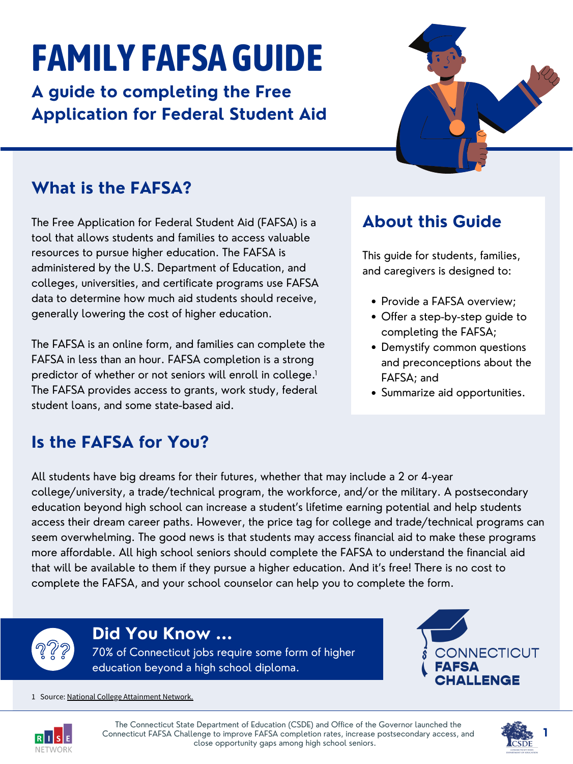## **Is the FAFSA for You?**

All students have big dreams for their futures, whether that may include a 2 or 4-year college/university, a trade/technical program, the workforce, and/or the military. A postsecondary education beyond high school can increase a student's lifetime earning potential and help students access their dream career paths. However, the price tag for college and trade/technical programs can seem overwhelming. The good news is that students may access financial aid to make these programs more affordable. All high school seniors should complete the FAFSA to understand the financial aid that will be available to them if they pursue a higher education. And it's free! There is no cost to complete the FAFSA, and your school counselor can help you to complete the form.



## **What is the FAFSA?**

- Provide a FAFSA overview;
- Offer a step-by-step guide to completing the FAFSA;
- Demystify common questions and preconceptions about the FAFSA; and
- Summarize aid opportunities.

The Free Application for Federal Student Aid (FAFSA) is a tool that allows students and families to access valuable resources to pursue higher education. The FAFSA is administered by the U.S. Department of Education, and colleges, universities, and certificate programs use FAFSA data to determine how much aid students should receive, generally lowering the cost of higher education.

The FAFSA is an online form, and families can complete the FAFSA in less than an hour. FAFSA completion is a strong predictor of whether or not seniors will enroll in college. 1 The FAFSA provides access to grants, work study, federal

## **About this Guide**

This guide for students, families, and caregivers is designed to:

# **FAMILY FAFSAGUIDE**

**A guide to completing the Free Application for Federal Student Aid**



### **Did You Know ...**

70% of Connecticut jobs require some form of higher education beyond a high school diploma.



#### 1 Source: National College [Attainment](https://www.ncan.org/news/456025/Survey-Data-Strengthen-Association-Between-FAFSA-Completion-and-Enrollment.htm) Network.



The Connecticut State Department of Education (CSDE) and Office of the Governor launched the Connecticut FAFSA Challenge to improve FAFSA completion rates, increase postsecondary access, and close opportunity gaps among high school seniors.

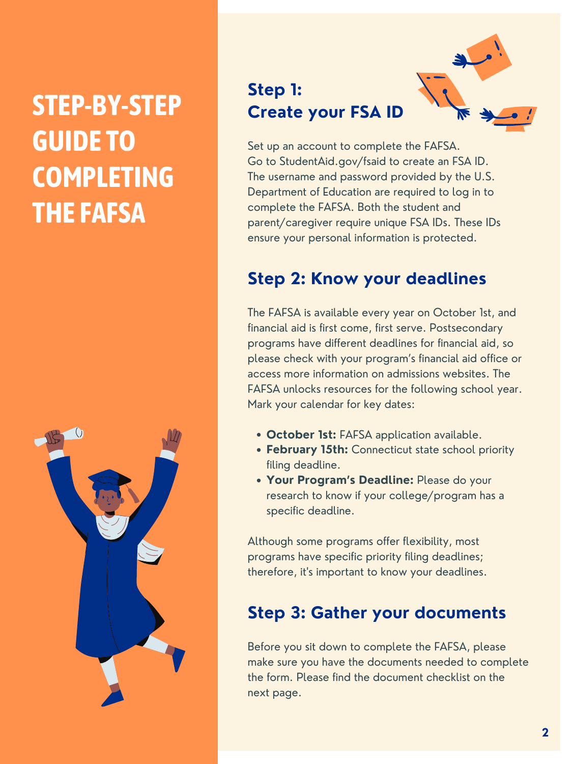## **STEP-BY-STEP GUIDE TO COMPLETING THE FAFSA**

- **October 1st:** FAFSA application available.
- **February 15th:** Connecticut state school priority filing deadline.
- **Your Program's Deadline:** Please do your research to know if your college/program has a specific deadline.

## **Step 1: Create your FSA ID**



Set up an account to complete the FAFSA. Go to StudentAid.gov/fsaid to create an FSA ID. The username and password provided by the U.S. Department of Education are required to log in to complete the FAFSA. Both the student and parent/caregiver require unique FSA IDs. These IDs ensure your personal information is protected.

## **Step 2: Know your deadlines**

The FAFSA is available every year on October 1st, and financial aid is first come, first serve. Postsecondary programs have different deadlines for financial aid, so please check with your program's financial aid office or access more information on admissions websites. The FAFSA unlocks resources for the following school year.



Mark your calendar for key dates:

Although some programs offer flexibility, most programs have specific priority filing deadlines; therefore, it' s important to know your deadlines.

## **Step 3: Gather your documents**

Before you sit down to complete the FAFSA, please make sure you have the documents needed to complete the form. Please find the document checklist on the next page.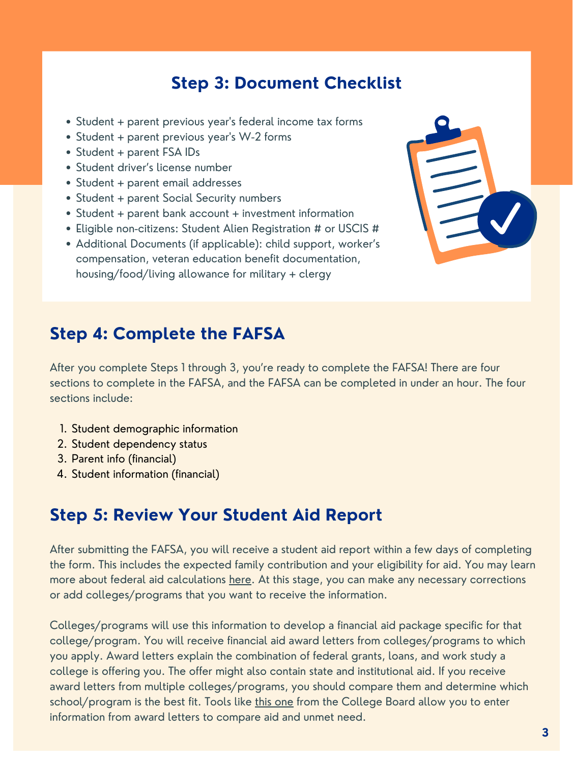## **Step 4: Complete the FAFSA**

After you complete Steps 1 through 3, you're ready to complete the FAFSA! There are four sections to complete in the FAFSA, and the FAFSA can be completed in under an hour. The four sections include:

- 1. Student demographic information
- 2. Student dependency status
- 3. Parent info (financial)
- 4. Student information (financial)

## **Step 5: Review Your Student Aid Report**

After submitting the FAFSA, you will receive a student aid report within a few days of completing the form. This includes the expected family contribution and your eligibility for aid. You may learn more about federal aid calculations [here](https://studentaid.gov/complete-aid-process/how-calculated). At this stage, you can make any necessary corrections or add colleges/programs that you want to receive the information.

- Student + parent previous year' s federal income tax forms
- Student + parent previous year 's W-2 forms
- Student + parent FSA IDs
- Student driver's license number
- Student + parent email addresses
- Student + parent Social Security numbers
- Student + parent bank account + investment information
- Eligible non-citizens: Student Alien Registration # or USCIS #
- Additional Documents (if applicable): child support, worker's compensation, veteran education benefit documentation, housing/food/living allowance for military + clergy



Colleges/programs will use this information to develop a financial aid package specific for that college/program. You will receive financial aid award letters from colleges/programs to which you apply. Award letters explain the combination of federal grants, loans, and work study a college is offering you. The offer might also contain state and institutional aid. If you receive award letters from multiple colleges/programs, you should compare them and determine which school/program is the best fit. Tools like this [one](https://bigfuture.collegeboard.org/pay-for-college/financial-aid-awards/compare-aid-calculator) from the College Board allow you to enter information from award letters to compare aid and unmet need.

### **Step 3: Document Checklist**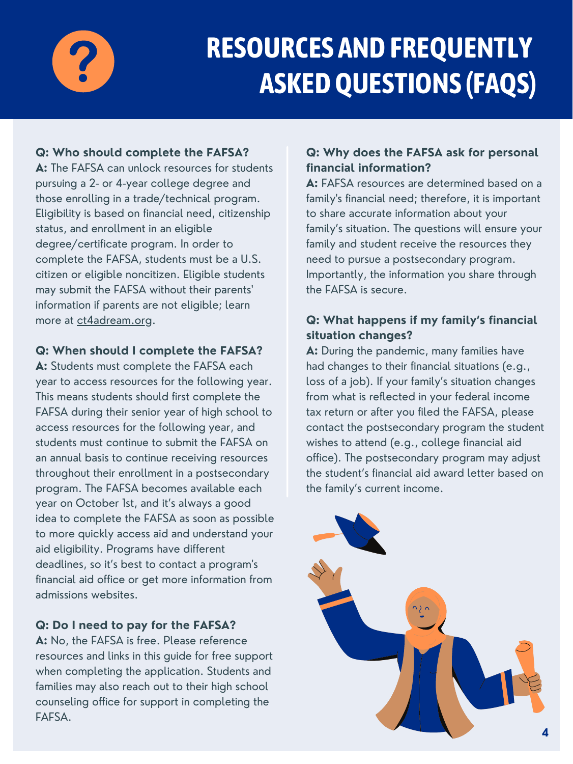

## **RESOURCES ANDFREQUENTLY ASKEDQUESTIONS (FAQS)**

**A:** The FAFSA can unlock resources for students pursuing a 2- or 4-year college degree and those enrolling in a trade/technical program. Eligibility is based on financial need, citizenship status, and enrollment in an eligible degree/certificate program. In order to complete the FAFSA, students must be a U.S. citizen or eligible noncitizen. Eligible students may submit the FAFSA without their parents 'information if parents are not eligible; learn more at [ct4adream.org](https://www.ct4adream.org/).

#### **Q: Who should complete the FAFSA?**

#### **Q: When should I complete the FAFSA?**

**A:** Students must complete the FAFSA each year to access resources for the following year. This means students should first complete the FAFSA during their senior year of high school to access resources for the following year, and students must continue to submit the FAFSA on an annual basis to continue receiving resources throughout their enrollment in a postsecondary program. The FAFSA becomes available each year on October 1st, and it's always a good idea to complete the FAFSA as soon as possible to more quickly access aid and understand your aid eligibility. Programs have different deadlines, so it's best to contact a program ' s financial aid office or get more information from admissions websites.

#### **Q: Do I need to pay for the FAFSA?**

**A:** No, the FAFSA is free. Please reference resources and links in this guide for free support when completing the application. Students and families may also reach out to their high school counseling office for support in completing the FAFSA.

### **Q: Why does the FAFSA ask for personal financial information?**

**A:** FAFSA resources are determined based on a family ' s financial need; therefore, it is important to share accurate information about your family's situation. The questions will ensure your family and student receive the resources they need to pursue a postsecondary program. Importantly, the information you share through the FAFSA is secure.

### **Q: What happens if my family's financial situation changes?**

**A:** During the pandemic, many families have had changes to their financial situations (e.g., loss of a job). If your family's situation changes from what is reflected in your federal income tax return or after you filed the FAFSA, please contact the postsecondary program the student wishes to attend (e.g., college financial aid office). The postsecondary program may adjust the student's financial aid award letter based on the family's current income.

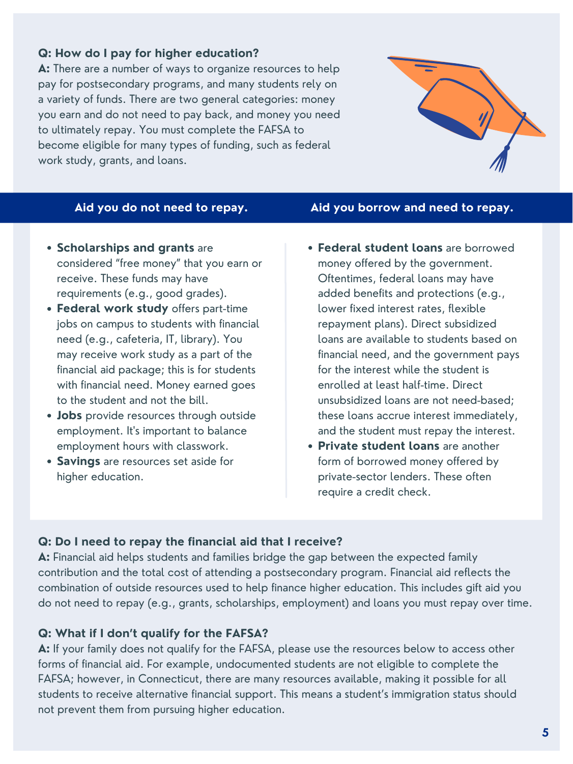#### **Q: How do I pay for higher education?**

**A:** There are a number of ways to organize resources to help pay for postsecondary programs, and many students rely on a variety of funds. There are two general categories: money you earn and do not need to pay back, and money you need to ultimately repay. You must complete the FAFSA to become eligible for many types of funding, such as federal work study, grants, and loans.



#### **Q: Do I need to repay the financial aid that I receive?**

**A:** Financial aid helps students and families bridge the gap between the expected family contribution and the total cost of attending a postsecondary program. Financial aid reflects the combination of outside resources used to help finance higher education. This includes gift aid you do not need to repay (e.g., grants, scholarships, employment) and loans you must repay over time.

#### **Q: What if I don't qualify for the FAFSA?**

**A:** If your family does not qualify for the FAFSA, please use the resources below to access other forms of financial aid. For example, undocumented students are not eligible to complete the FAFSA; however, in Connecticut, there are many resources available, making it possible for all students to receive alternative financial support. This means a student's immigration status should not prevent them from pursuing higher education.

- **Scholarships and grants** are considered "free money" that you earn or receive. These funds may have requirements (e.g., good grades).
- **Federal work study** offers part-time jobs on campus to students with financial need (e.g., cafeteria, IT, library). You may receive work study as a part of the financial aid package; this is for students with financial need. Money earned goes
- **Federal [student](https://studentaid.gov/understand-aid/types/loans) loans** are borrowed money offered by the government. Oftentimes, federal loans may have added benefits and protections (e.g., lower fixed interest rates, flexible repayment plans). Direct subsidized loans are available to students based on financial need, and the government pays for the interest while the student is enrolled at least half-time. Direct unsubsidized loans are not need-based; these loans accrue interest immediately, and the student must repay the interest.
- to the student and not the bill.
- **Jobs** provide resources through outside employment. It' s important to balance employment hours with classwork.
- **Savings** are resources set aside for higher education.
- **Private student loans** are another form of borrowed money offered by private-sector lenders. These often require a credit check.

#### **Aid you do not need to repay. Aid you borrow and need to repay.**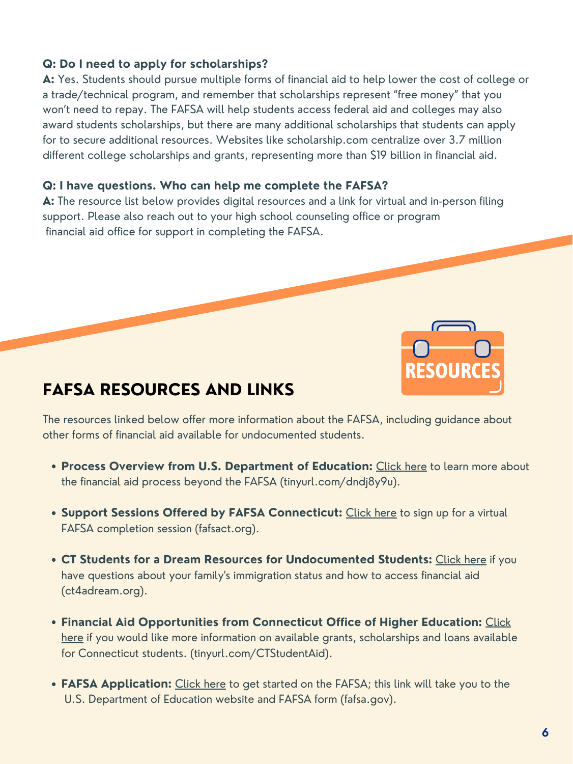#### **Q: Do I need to apply for scholarships?**

**A:** Yes. Students should pursue multiple forms of financial aid to help lower the cost of college or a trade/technical program, and remember that scholarships represent "free money" that you won't need to repay. The FAFSA will help students access federal aid and colleges may also award students scholarships, but there are many additional scholarships that students can apply for to secure additional resources. Websites like [scholarship.com](https://www.scholarships.com/) centralize over 3.7 million different college scholarships and grants, representing more than \$19 billion in financial aid.

#### **Q: I have questions. Who can help me complete the FAFSA?**

**A:** The resource list below provides digital resources and a link for virtual and in-person filing support. Please also reach out to your high school counseling office or program financial aid office for support in completing the FAFSA.

- **Process Overview from U.S. Department of Education:** [Click](https://studentaid.gov/sites/default/files/financial-aid-process.png) here to learn more about the financial aid process beyond the FAFSA (tinyurl.com/dndj8y9u).
- **Support Sessions Offered by FAFSA Connecticut:** [Click](https://fafsact.org/) here to sign up for a virtual FAFSA completion session (fafsact.org).
- **CT Students for a Dream Resources for Undocumented Students:** [Click](http://www.ct4adream.org/) here if you have questions about your family ' s immigration status and how to access financial aid (ct4adream.org).
- **Financial Aid [Opportunities](http://www.ctohe.org/sfa/sfa.shtml) from Connecticut Office of Higher Education:** Click here if you would like more information on available grants, scholarships and loans available for Connecticut students. [\(tinyurl.com/CTStudentAid](http://www.ctohe.org/sfa/sfa.shtml)).
- **FAFSA Application:** [Click](http://studentaid.gov/h/apply-for-aid/fafsa) here to get started on the FAFSA; this link will take you to the U.S. Department of Education website and FAFSA form (fafsa.gov).

The resources linked below offer more information about the FAFSA, including guidance about other forms of financial aid available for undocumented students.



### **FAFSA RESOURCES AND LINKS**